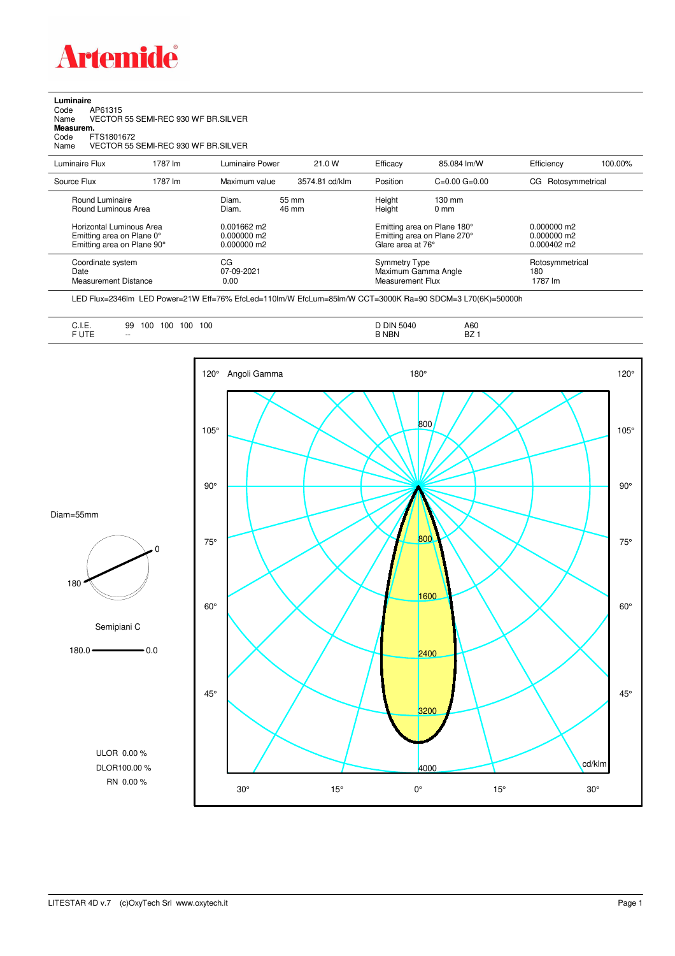

**Luminaire**<br>Code<br>Name Code AP61315 Name VECTOR 55 SEMI-REC 930 WF BR.SILVER **Measurem.**

Code FTS1801672 Name VECTOR 55 SEMI-REC 930 WF BR.SILVER

| Luminaire Flux                                                     | 1787 lm | Luminaire Power                 | 21.0 W                       | Efficacy                                 | 85.084 lm/W                                                       | Efficiency                        | 100.00% |
|--------------------------------------------------------------------|---------|---------------------------------|------------------------------|------------------------------------------|-------------------------------------------------------------------|-----------------------------------|---------|
| Source Flux                                                        | 1787 lm | Maximum value                   | 3574.81 cd/klm               | Position                                 | $C=0.00$ $G=0.00$                                                 | Rotosymmetrical<br>CG             |         |
| Round Luminaire<br>Round Luminous Area<br>Horizontal Luminous Area |         | Diam.<br>Diam.<br>$0.001662$ m2 | $55 \, \mathrm{mm}$<br>46 mm | Height<br>Height                         | $130 \text{ mm}$<br>$0 \text{ mm}$<br>Emitting area on Plane 180° | $0.000000$ m2<br>$0.000000$ m2    |         |
| Emitting area on Plane 0°<br>Emitting area on Plane 90°            |         | $0.000000$ m2<br>$0.000000$ m2  |                              |                                          | Emitting area on Plane 270°<br>Glare area at 76°                  |                                   |         |
| Coordinate system<br>Date<br><b>Measurement Distance</b>           |         | CG<br>07-09-2021<br>0.00        |                              | <b>Symmetry Type</b><br>Measurement Flux | Maximum Gamma Angle                                               | Rotosymmetrical<br>180<br>1787 lm |         |

LED Flux=2346lm LED Power=21W Eff=76% EfcLed=110lm/W EfcLum=85lm/W CCT=3000K Ra=90 SDCM=3 L70(6K)=50000h